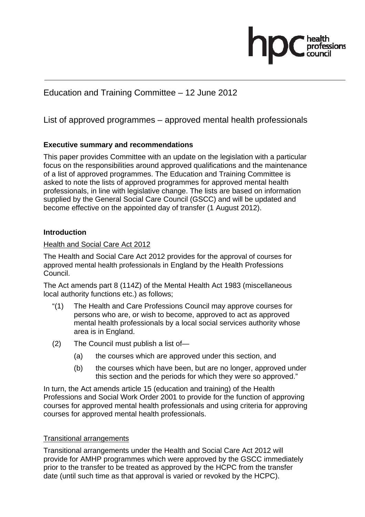# Education and Training Committee – 12 June 2012

List of approved programmes – approved mental health professionals

# **Executive summary and recommendations**

This paper provides Committee with an update on the legislation with a particular focus on the responsibilities around approved qualifications and the maintenance of a list of approved programmes. The Education and Training Committee is asked to note the lists of approved programmes for approved mental health professionals, in line with legislative change. The lists are based on information supplied by the General Social Care Council (GSCC) and will be updated and become effective on the appointed day of transfer (1 August 2012).

# **Introduction**

# Health and Social Care Act 2012

The Health and Social Care Act 2012 provides for the approval of courses for approved mental health professionals in England by the Health Professions Council.

The Act amends part 8 (114Z) of the Mental Health Act 1983 (miscellaneous local authority functions etc.) as follows;

- "(1) The Health and Care Professions Council may approve courses for persons who are, or wish to become, approved to act as approved mental health professionals by a local social services authority whose area is in England.
- (2) The Council must publish a list of—
	- (a) the courses which are approved under this section, and
	- (b) the courses which have been, but are no longer, approved under this section and the periods for which they were so approved."

In turn, the Act amends article 15 (education and training) of the Health Professions and Social Work Order 2001 to provide for the function of approving courses for approved mental health professionals and using criteria for approving courses for approved mental health professionals.

# Transitional arrangements

Transitional arrangements under the Health and Social Care Act 2012 will provide for AMHP programmes which were approved by the GSCC immediately prior to the transfer to be treated as approved by the HCPC from the transfer date (until such time as that approval is varied or revoked by the HCPC).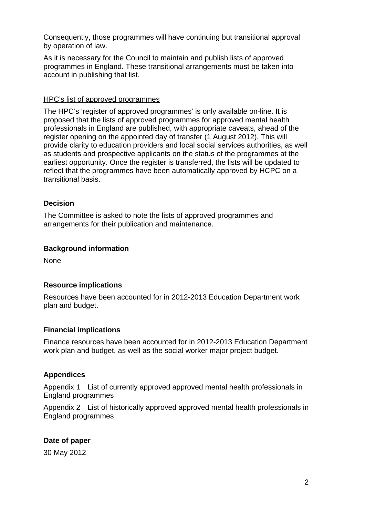Consequently, those programmes will have continuing but transitional approval by operation of law.

As it is necessary for the Council to maintain and publish lists of approved programmes in England. These transitional arrangements must be taken into account in publishing that list.

### HPC's list of approved programmes

The HPC's 'register of approved programmes' is only available on-line. It is proposed that the lists of approved programmes for approved mental health professionals in England are published, with appropriate caveats, ahead of the register opening on the appointed day of transfer (1 August 2012). This will provide clarity to education providers and local social services authorities, as well as students and prospective applicants on the status of the programmes at the earliest opportunity. Once the register is transferred, the lists will be updated to reflect that the programmes have been automatically approved by HCPC on a transitional basis.

### **Decision**

The Committee is asked to note the lists of approved programmes and arrangements for their publication and maintenance.

### **Background information**

None

### **Resource implications**

Resources have been accounted for in 2012-2013 Education Department work plan and budget.

### **Financial implications**

Finance resources have been accounted for in 2012-2013 Education Department work plan and budget, as well as the social worker major project budget.

### **Appendices**

Appendix 1 List of currently approved approved mental health professionals in England programmes

Appendix 2 List of historically approved approved mental health professionals in England programmes

### **Date of paper**

30 May 2012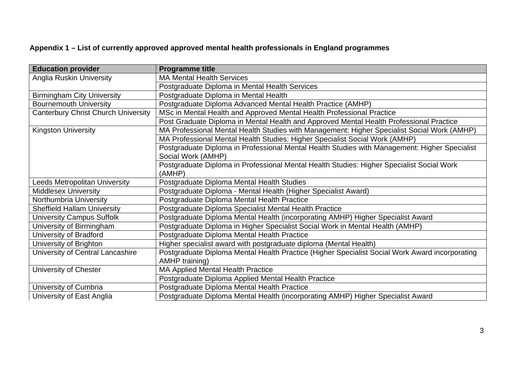# **Appendix 1 – List of currently approved approved mental health professionals in England programmes**

| <b>Education provider</b>                  | <b>Programme title</b>                                                                         |
|--------------------------------------------|------------------------------------------------------------------------------------------------|
| <b>Anglia Ruskin University</b>            | <b>MA Mental Health Services</b>                                                               |
|                                            | Postgraduate Diploma in Mental Health Services                                                 |
| <b>Birmingham City University</b>          | Postgraduate Diploma in Mental Health                                                          |
| <b>Bournemouth University</b>              | Postgraduate Diploma Advanced Mental Health Practice (AMHP)                                    |
| <b>Canterbury Christ Church University</b> | MSc in Mental Health and Approved Mental Health Professional Practice                          |
|                                            | Post Graduate Diploma in Mental Health and Approved Mental Health Professional Practice        |
| <b>Kingston University</b>                 | MA Professional Mental Health Studies with Management: Higher Specialist Social Work (AMHP)    |
|                                            | MA Professional Mental Health Studies: Higher Specialist Social Work (AMHP)                    |
|                                            | Postgraduate Diploma in Professional Mental Health Studies with Management: Higher Specialist  |
|                                            | Social Work (AMHP)                                                                             |
|                                            | Postgraduate Diploma in Professional Mental Health Studies: Higher Specialist Social Work      |
|                                            | (AMHP)                                                                                         |
| <b>Leeds Metropolitan University</b>       | Postgraduate Diploma Mental Health Studies                                                     |
| <b>Middlesex University</b>                | Postgraduate Diploma - Mental Health (Higher Specialist Award)                                 |
| Northumbria University                     | Postgraduate Diploma Mental Health Practice                                                    |
| <b>Sheffield Hallam University</b>         | Postgraduate Diploma Specialist Mental Health Practice                                         |
| <b>University Campus Suffolk</b>           | Postgraduate Diploma Mental Health (incorporating AMHP) Higher Specialist Award                |
| University of Birmingham                   | Postgraduate Diploma in Higher Specialist Social Work in Mental Health (AMHP)                  |
| <b>University of Bradford</b>              | Postgraduate Diploma Mental Health Practice                                                    |
| University of Brighton                     | Higher specialist award with postgraduate diploma (Mental Health)                              |
| University of Central Lancashire           | Postgraduate Diploma Mental Health Practice (Higher Specialist Social Work Award incorporating |
|                                            | <b>AMHP</b> training)                                                                          |
| University of Chester                      | <b>MA Applied Mental Health Practice</b>                                                       |
|                                            | Postgraduate Diploma Applied Mental Health Practice                                            |
| University of Cumbria                      | Postgraduate Diploma Mental Health Practice                                                    |
| University of East Anglia                  | Postgraduate Diploma Mental Health (incorporating AMHP) Higher Specialist Award                |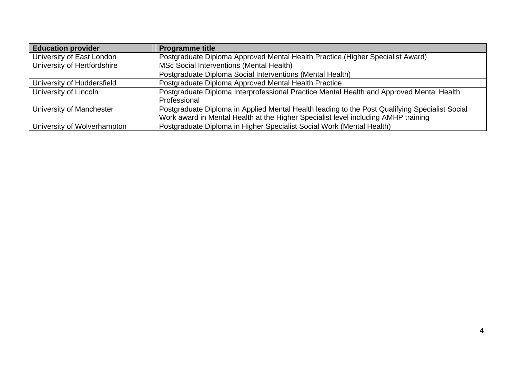| <b>Education provider</b>   | <b>Programme title</b>                                                                         |
|-----------------------------|------------------------------------------------------------------------------------------------|
| University of East London   | Postgraduate Diploma Approved Mental Health Practice (Higher Specialist Award)                 |
| University of Hertfordshire | MSc Social Interventions (Mental Health)                                                       |
|                             | Postgraduate Diploma Social Interventions (Mental Health)                                      |
| University of Huddersfield  | Postgraduate Diploma Approved Mental Health Practice                                           |
| University of Lincoln       | Postgraduate Diploma Interprofessional Practice Mental Health and Approved Mental Health       |
|                             | Professional                                                                                   |
| University of Manchester    | Postgraduate Diploma in Applied Mental Health leading to the Post Qualifying Specialist Social |
|                             | Work award in Mental Health at the Higher Specialist level including AMHP training             |
| University of Wolverhampton | Postgraduate Diploma in Higher Specialist Social Work (Mental Health)                          |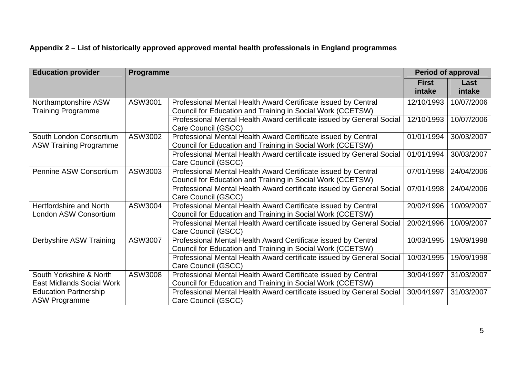# **Appendix 2 – List of historically approved approved mental health professionals in England programmes**

| <b>Education provider</b>                                   | Programme |                                                                                                                              | <b>Period of approval</b> |                |
|-------------------------------------------------------------|-----------|------------------------------------------------------------------------------------------------------------------------------|---------------------------|----------------|
|                                                             |           |                                                                                                                              | <b>First</b><br>intake    | Last<br>intake |
| Northamptonshire ASW<br><b>Training Programme</b>           | ASW3001   | Professional Mental Health Award Certificate issued by Central<br>Council for Education and Training in Social Work (CCETSW) | 12/10/1993                | 10/07/2006     |
|                                                             |           | Professional Mental Health Award certificate issued by General Social<br>Care Council (GSCC)                                 | 12/10/1993                | 10/07/2006     |
| South London Consortium<br><b>ASW Training Programme</b>    | ASW3002   | Professional Mental Health Award Certificate issued by Central<br>Council for Education and Training in Social Work (CCETSW) | 01/01/1994                | 30/03/2007     |
|                                                             |           | Professional Mental Health Award certificate issued by General Social<br>Care Council (GSCC)                                 | 01/01/1994                | 30/03/2007     |
| Pennine ASW Consortium                                      | ASW3003   | Professional Mental Health Award Certificate issued by Central<br>Council for Education and Training in Social Work (CCETSW) | 07/01/1998                | 24/04/2006     |
|                                                             |           | Professional Mental Health Award certificate issued by General Social<br>Care Council (GSCC)                                 | 07/01/1998                | 24/04/2006     |
| Hertfordshire and North<br>London ASW Consortium            | ASW3004   | Professional Mental Health Award Certificate issued by Central<br>Council for Education and Training in Social Work (CCETSW) | 20/02/1996                | 10/09/2007     |
|                                                             |           | Professional Mental Health Award certificate issued by General Social<br>Care Council (GSCC)                                 | 20/02/1996                | 10/09/2007     |
| Derbyshire ASW Training                                     | ASW3007   | Professional Mental Health Award Certificate issued by Central<br>Council for Education and Training in Social Work (CCETSW) | 10/03/1995                | 19/09/1998     |
|                                                             |           | Professional Mental Health Award certificate issued by General Social<br>Care Council (GSCC)                                 | 10/03/1995                | 19/09/1998     |
| South Yorkshire & North<br><b>East Midlands Social Work</b> | ASW3008   | Professional Mental Health Award Certificate issued by Central<br>Council for Education and Training in Social Work (CCETSW) | 30/04/1997                | 31/03/2007     |
| <b>Education Partnership</b><br><b>ASW Programme</b>        |           | Professional Mental Health Award certificate issued by General Social<br>Care Council (GSCC)                                 | 30/04/1997                | 31/03/2007     |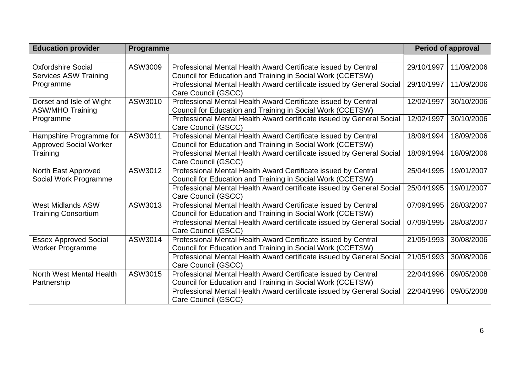| <b>Education provider</b>                                 | Programme |                                                                                                                              |            | <b>Period of approval</b> |  |
|-----------------------------------------------------------|-----------|------------------------------------------------------------------------------------------------------------------------------|------------|---------------------------|--|
|                                                           |           |                                                                                                                              |            |                           |  |
| <b>Oxfordshire Social</b><br><b>Services ASW Training</b> | ASW3009   | Professional Mental Health Award Certificate issued by Central<br>Council for Education and Training in Social Work (CCETSW) | 29/10/1997 | 11/09/2006                |  |
| Programme                                                 |           | Professional Mental Health Award certificate issued by General Social<br>Care Council (GSCC)                                 | 29/10/1997 | 11/09/2006                |  |
| Dorset and Isle of Wight<br><b>ASW/MHO Training</b>       | ASW3010   | Professional Mental Health Award Certificate issued by Central<br>Council for Education and Training in Social Work (CCETSW) | 12/02/1997 | 30/10/2006                |  |
| Programme                                                 |           | Professional Mental Health Award certificate issued by General Social<br>Care Council (GSCC)                                 | 12/02/1997 | 30/10/2006                |  |
| Hampshire Programme for<br><b>Approved Social Worker</b>  | ASW3011   | Professional Mental Health Award Certificate issued by Central<br>Council for Education and Training in Social Work (CCETSW) | 18/09/1994 | 18/09/2006                |  |
| Training                                                  |           | Professional Mental Health Award certificate issued by General Social<br>Care Council (GSCC)                                 | 18/09/1994 | 18/09/2006                |  |
| North East Approved<br>Social Work Programme              | ASW3012   | Professional Mental Health Award Certificate issued by Central<br>Council for Education and Training in Social Work (CCETSW) | 25/04/1995 | 19/01/2007                |  |
|                                                           |           | Professional Mental Health Award certificate issued by General Social<br>Care Council (GSCC)                                 | 25/04/1995 | 19/01/2007                |  |
| <b>West Midlands ASW</b><br><b>Training Consortium</b>    | ASW3013   | Professional Mental Health Award Certificate issued by Central<br>Council for Education and Training in Social Work (CCETSW) | 07/09/1995 | 28/03/2007                |  |
|                                                           |           | Professional Mental Health Award certificate issued by General Social<br>Care Council (GSCC)                                 | 07/09/1995 | 28/03/2007                |  |
| <b>Essex Approved Social</b><br><b>Worker Programme</b>   | ASW3014   | Professional Mental Health Award Certificate issued by Central<br>Council for Education and Training in Social Work (CCETSW) | 21/05/1993 | 30/08/2006                |  |
|                                                           |           | Professional Mental Health Award certificate issued by General Social<br>Care Council (GSCC)                                 | 21/05/1993 | 30/08/2006                |  |
| North West Mental Health<br>Partnership                   | ASW3015   | Professional Mental Health Award Certificate issued by Central<br>Council for Education and Training in Social Work (CCETSW) | 22/04/1996 | 09/05/2008                |  |
|                                                           |           | Professional Mental Health Award certificate issued by General Social<br>Care Council (GSCC)                                 | 22/04/1996 | 09/05/2008                |  |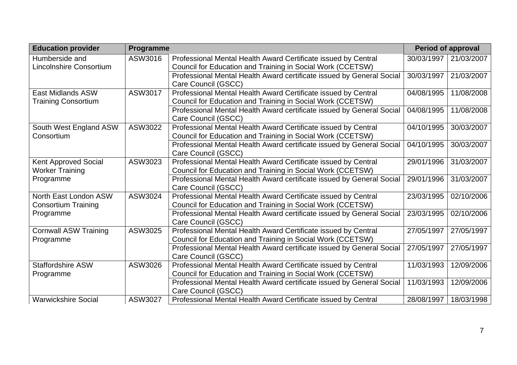| <b>Education provider</b>                              | Programme |                                                                                                                              | <b>Period of approval</b> |            |
|--------------------------------------------------------|-----------|------------------------------------------------------------------------------------------------------------------------------|---------------------------|------------|
| Humberside and<br>Lincolnshire Consortium              | ASW3016   | Professional Mental Health Award Certificate issued by Central<br>Council for Education and Training in Social Work (CCETSW) | 30/03/1997                | 21/03/2007 |
|                                                        |           | Professional Mental Health Award certificate issued by General Social<br>Care Council (GSCC)                                 | 30/03/1997                | 21/03/2007 |
| <b>East Midlands ASW</b><br><b>Training Consortium</b> | ASW3017   | Professional Mental Health Award Certificate issued by Central<br>Council for Education and Training in Social Work (CCETSW) | 04/08/1995                | 11/08/2008 |
|                                                        |           | Professional Mental Health Award certificate issued by General Social<br>Care Council (GSCC)                                 | 04/08/1995                | 11/08/2008 |
| South West England ASW<br>Consortium                   | ASW3022   | Professional Mental Health Award Certificate issued by Central<br>Council for Education and Training in Social Work (CCETSW) | 04/10/1995                | 30/03/2007 |
|                                                        |           | Professional Mental Health Award certificate issued by General Social<br>Care Council (GSCC)                                 | 04/10/1995                | 30/03/2007 |
| <b>Kent Approved Social</b><br><b>Worker Training</b>  | ASW3023   | Professional Mental Health Award Certificate issued by Central<br>Council for Education and Training in Social Work (CCETSW) | 29/01/1996                | 31/03/2007 |
| Programme                                              |           | Professional Mental Health Award certificate issued by General Social<br>Care Council (GSCC)                                 | 29/01/1996                | 31/03/2007 |
| North East London ASW<br><b>Consortium Training</b>    | ASW3024   | Professional Mental Health Award Certificate issued by Central<br>Council for Education and Training in Social Work (CCETSW) | 23/03/1995                | 02/10/2006 |
| Programme                                              |           | Professional Mental Health Award certificate issued by General Social<br>Care Council (GSCC)                                 | 23/03/1995                | 02/10/2006 |
| <b>Cornwall ASW Training</b><br>Programme              | ASW3025   | Professional Mental Health Award Certificate issued by Central<br>Council for Education and Training in Social Work (CCETSW) | 27/05/1997                | 27/05/1997 |
|                                                        |           | Professional Mental Health Award certificate issued by General Social<br>Care Council (GSCC)                                 | 27/05/1997                | 27/05/1997 |
| <b>Staffordshire ASW</b><br>Programme                  | ASW3026   | Professional Mental Health Award Certificate issued by Central<br>Council for Education and Training in Social Work (CCETSW) | 11/03/1993                | 12/09/2006 |
|                                                        |           | Professional Mental Health Award certificate issued by General Social<br>Care Council (GSCC)                                 | 11/03/1993                | 12/09/2006 |
| <b>Warwickshire Social</b>                             | ASW3027   | Professional Mental Health Award Certificate issued by Central                                                               | 28/08/1997                | 18/03/1998 |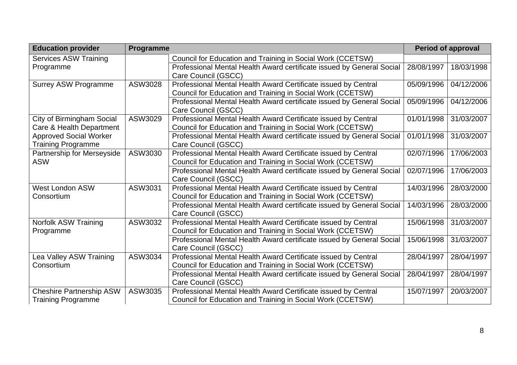| <b>Education provider</b>       | Programme |                                                                                       |            | <b>Period of approval</b> |
|---------------------------------|-----------|---------------------------------------------------------------------------------------|------------|---------------------------|
| <b>Services ASW Training</b>    |           | Council for Education and Training in Social Work (CCETSW)                            |            |                           |
| Programme                       |           | Professional Mental Health Award certificate issued by General Social                 | 28/08/1997 | 18/03/1998                |
|                                 |           | Care Council (GSCC)                                                                   |            |                           |
| <b>Surrey ASW Programme</b>     | ASW3028   | Professional Mental Health Award Certificate issued by Central                        | 05/09/1996 | 04/12/2006                |
|                                 |           | Council for Education and Training in Social Work (CCETSW)                            |            |                           |
|                                 |           | Professional Mental Health Award certificate issued by General Social                 | 05/09/1996 | 04/12/2006                |
|                                 |           | Care Council (GSCC)                                                                   |            |                           |
| City of Birmingham Social       | ASW3029   | Professional Mental Health Award Certificate issued by Central                        | 01/01/1998 | 31/03/2007                |
| Care & Health Department        |           | Council for Education and Training in Social Work (CCETSW)                            |            |                           |
| <b>Approved Social Worker</b>   |           | Professional Mental Health Award certificate issued by General Social                 | 01/01/1998 | 31/03/2007                |
| <b>Training Programme</b>       |           | Care Council (GSCC)                                                                   |            |                           |
| Partnership for Merseyside      | ASW3030   | Professional Mental Health Award Certificate issued by Central                        | 02/07/1996 | 17/06/2003                |
| <b>ASW</b>                      |           | Council for Education and Training in Social Work (CCETSW)                            |            |                           |
|                                 |           | Professional Mental Health Award certificate issued by General Social                 | 02/07/1996 | 17/06/2003                |
|                                 |           | Care Council (GSCC)                                                                   |            |                           |
| <b>West London ASW</b>          | ASW3031   | Professional Mental Health Award Certificate issued by Central                        | 14/03/1996 | 28/03/2000                |
| Consortium                      |           | Council for Education and Training in Social Work (CCETSW)                            |            |                           |
|                                 |           | Professional Mental Health Award certificate issued by General Social                 | 14/03/1996 | 28/03/2000                |
|                                 |           | Care Council (GSCC)                                                                   |            |                           |
| <b>Norfolk ASW Training</b>     | ASW3032   | Professional Mental Health Award Certificate issued by Central                        | 15/06/1998 | 31/03/2007                |
| Programme                       |           | Council for Education and Training in Social Work (CCETSW)                            |            |                           |
|                                 |           | Professional Mental Health Award certificate issued by General Social                 | 15/06/1998 | 31/03/2007                |
|                                 |           | Care Council (GSCC)                                                                   |            |                           |
| Lea Valley ASW Training         | ASW3034   | Professional Mental Health Award Certificate issued by Central                        | 28/04/1997 | 28/04/1997                |
| Consortium                      |           | Council for Education and Training in Social Work (CCETSW)                            |            |                           |
|                                 |           | Professional Mental Health Award certificate issued by General Social                 | 28/04/1997 | 28/04/1997                |
|                                 | ASW3035   | Care Council (GSCC)<br>Professional Mental Health Award Certificate issued by Central | 15/07/1997 | 20/03/2007                |
| <b>Cheshire Partnership ASW</b> |           | Council for Education and Training in Social Work (CCETSW)                            |            |                           |
| <b>Training Programme</b>       |           |                                                                                       |            |                           |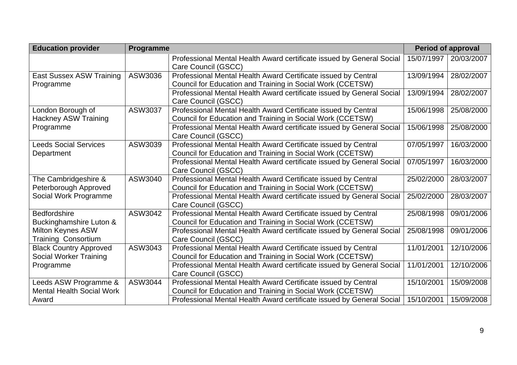| <b>Education provider</b>                                      | Programme |                                                                                                                              |            | <b>Period of approval</b> |  |
|----------------------------------------------------------------|-----------|------------------------------------------------------------------------------------------------------------------------------|------------|---------------------------|--|
|                                                                |           | Professional Mental Health Award certificate issued by General Social<br>Care Council (GSCC)                                 | 15/07/1997 | 20/03/2007                |  |
| <b>East Sussex ASW Training</b><br>Programme                   | ASW3036   | Professional Mental Health Award Certificate issued by Central<br>Council for Education and Training in Social Work (CCETSW) | 13/09/1994 | 28/02/2007                |  |
|                                                                |           | Professional Mental Health Award certificate issued by General Social<br>Care Council (GSCC)                                 | 13/09/1994 | 28/02/2007                |  |
| London Borough of<br><b>Hackney ASW Training</b>               | ASW3037   | Professional Mental Health Award Certificate issued by Central<br>Council for Education and Training in Social Work (CCETSW) | 15/06/1998 | 25/08/2000                |  |
| Programme                                                      |           | Professional Mental Health Award certificate issued by General Social<br>Care Council (GSCC)                                 | 15/06/1998 | 25/08/2000                |  |
| <b>Leeds Social Services</b><br>Department                     | ASW3039   | Professional Mental Health Award Certificate issued by Central<br>Council for Education and Training in Social Work (CCETSW) | 07/05/1997 | 16/03/2000                |  |
|                                                                |           | Professional Mental Health Award certificate issued by General Social<br>Care Council (GSCC)                                 | 07/05/1997 | 16/03/2000                |  |
| The Cambridgeshire &<br>Peterborough Approved                  | ASW3040   | Professional Mental Health Award Certificate issued by Central<br>Council for Education and Training in Social Work (CCETSW) | 25/02/2000 | 28/03/2007                |  |
| Social Work Programme                                          |           | Professional Mental Health Award certificate issued by General Social<br>Care Council (GSCC)                                 | 25/02/2000 | 28/03/2007                |  |
| <b>Bedfordshire</b><br>Buckinghamshire Luton &                 | ASW3042   | Professional Mental Health Award Certificate issued by Central<br>Council for Education and Training in Social Work (CCETSW) | 25/08/1998 | 09/01/2006                |  |
| <b>Milton Keynes ASW</b><br><b>Training Consortium</b>         |           | Professional Mental Health Award certificate issued by General Social<br>Care Council (GSCC)                                 | 25/08/1998 | 09/01/2006                |  |
| <b>Black Country Approved</b><br><b>Social Worker Training</b> | ASW3043   | Professional Mental Health Award Certificate issued by Central<br>Council for Education and Training in Social Work (CCETSW) | 11/01/2001 | 12/10/2006                |  |
| Programme                                                      |           | Professional Mental Health Award certificate issued by General Social<br>Care Council (GSCC)                                 | 11/01/2001 | 12/10/2006                |  |
| Leeds ASW Programme &<br><b>Mental Health Social Work</b>      | ASW3044   | Professional Mental Health Award Certificate issued by Central<br>Council for Education and Training in Social Work (CCETSW) | 15/10/2001 | 15/09/2008                |  |
| Award                                                          |           | Professional Mental Health Award certificate issued by General Social                                                        | 15/10/2001 | 15/09/2008                |  |